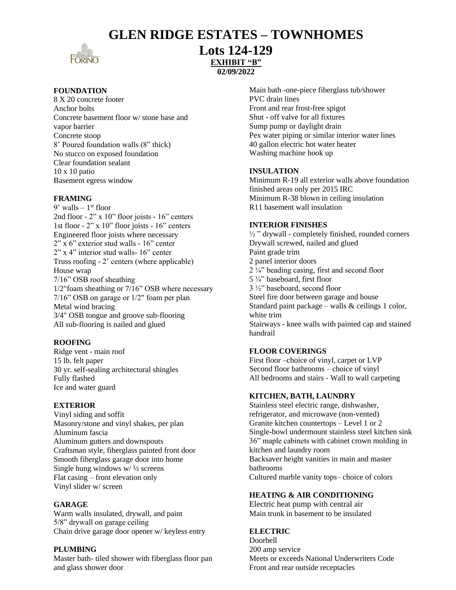## **GLEN RIDGE ESTATES – TOWNHOMES**



## **Lots 124-129 EXHIBIT "B" 02/09/2022**

## **FOUNDATION**

8 X 20 concrete footer Anchor bolts Concrete basement floor w/ stone base and vapor barrier Concrete stoop 8' Poured foundation walls (8" thick) No stucco on exposed foundation Clear foundation sealant 10 x 10 patio Basement egress window

## **FRAMING**

9' walls – 1 st floor 2nd floor - 2" x 10" floor joists - 16" centers 1st floor - 2" x 10" floor joists - 16" centers Engineered floor joists where necessary  $2"\overline{x}6"$  exterior stud walls - 16" center 2" x 4" interior stud walls- 16" center Truss roofing - 2' centers (where applicable) House wrap 7/16" OSB roof sheathing 1/2"foam sheathing or 7/16" OSB where necessary 7/16" OSB on garage or 1/2" foam per plan Metal wind bracing 3/4" OSB tongue and groove sub-flooring All sub-flooring is nailed and glued

## **ROOFING**

Ridge vent - main roof 15 lb. felt paper 30 yr. self-sealing architectural shingles Fully flashed Ice and water guard

## **EXTERIOR**

Vinyl siding and soffit Masonry/stone and vinyl shakes, per plan Aluminum fascia Aluminum gutters and downspouts Craftsman style, fiberglass painted front door Smooth fiberglass garage door into home Single hung windows w/ ½ screens Flat casing – front elevation only Vinyl slider w/ screen

## **GARAGE**

Warm walls insulated, drywall, and paint 5/8" drywall on garage ceiling Chain drive garage door opener w/ keyless entry

## **PLUMBING**

Master bath- tiled shower with fiberglass floor pan and glass shower door

Main bath -one-piece fiberglass tub/shower PVC drain lines Front and rear frost-free spigot Shut - off valve for all fixtures Sump pump or daylight drain Pex water piping or similar interior water lines 40 gallon electric hot water heater Washing machine hook up

#### **INSULATION**

Minimum R-19 all exterior walls above foundation finished areas only per 2015 IRC Minimum R-38 blown in ceiling insulation R11 basement wall insulation

## **INTERIOR FINISHES**

 $\frac{1}{2}$  " drywall - completely finished, rounded corners Drywall screwed, nailed and glued Paint grade trim 2 panel interior doors 2 ¼" beading casing, first and second floor 5 ¼" baseboard, first floor 3 ½" baseboard, second floor Steel fire door between garage and house Standard paint package – walls  $&$  ceilings 1 color, white trim Stairways - knee walls with painted cap and stained handrail

## **FLOOR COVERINGS**

First floor –choice of vinyl, carpet or LVP Second floor bathrooms – choice of vinyl All bedrooms and stairs - Wall to wall carpeting

#### **KITCHEN, BATH, LAUNDRY**

Stainless steel electric range, dishwasher, refrigerator, and microwave (non-vented) Granite kitchen countertops – Level 1 or 2 Single-bowl undermount stainless steel kitchen sink 36" maple cabinets with cabinet crown molding in kitchen and laundry room Backsaver height vanities in main and master bathrooms Cultured marble vanity tops– choice of colors

## **HEATING & AIR CONDITIONING**

Electric heat pump with central air Main trunk in basement to be insulated

## **ELECTRIC**

Doorbell 200 amp service Meets or exceeds National Underwriters Code Front and rear outside receptacles